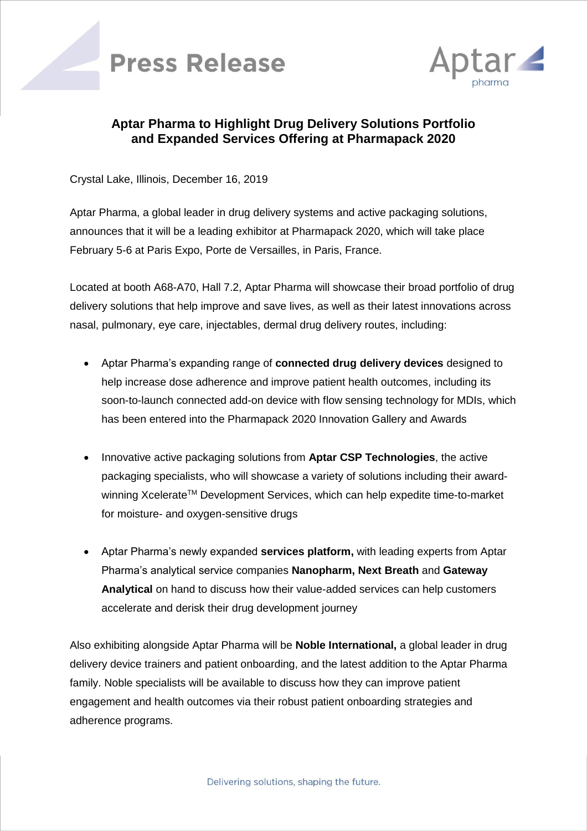



## **Aptar Pharma to Highlight Drug Delivery Solutions Portfolio and Expanded Services Offering at Pharmapack 2020**

Crystal Lake, Illinois, December 16, 2019

Aptar Pharma, a global leader in drug delivery systems and active packaging solutions, announces that it will be a leading exhibitor at Pharmapack 2020, which will take place February 5-6 at Paris Expo, Porte de Versailles, in Paris, France.

Located at booth A68-A70, Hall 7.2, Aptar Pharma will showcase their broad portfolio of drug delivery solutions that help improve and save lives, as well as their latest innovations across nasal, pulmonary, eye care, injectables, dermal drug delivery routes, including:

- Aptar Pharma's expanding range of **connected drug delivery devices** designed to help increase dose adherence and improve patient health outcomes, including its soon-to-launch connected add-on device with flow sensing technology for MDIs, which has been entered into the Pharmapack 2020 Innovation Gallery and Awards
- Innovative active packaging solutions from **Aptar CSP Technologies**, the active packaging specialists, who will showcase a variety of solutions including their awardwinning Xcelerate™ Development Services, which can help expedite time-to-market for moisture- and oxygen-sensitive drugs
- Aptar Pharma's newly expanded **services platform,** with leading experts from Aptar Pharma's analytical service companies **Nanopharm, Next Breath** and **Gateway Analytical** on hand to discuss how their value-added services can help customers accelerate and derisk their drug development journey

Also exhibiting alongside Aptar Pharma will be **Noble International,** a global leader in drug delivery device trainers and patient onboarding, and the latest addition to the Aptar Pharma family. Noble specialists will be available to discuss how they can improve patient engagement and health outcomes via their robust patient onboarding strategies and adherence programs.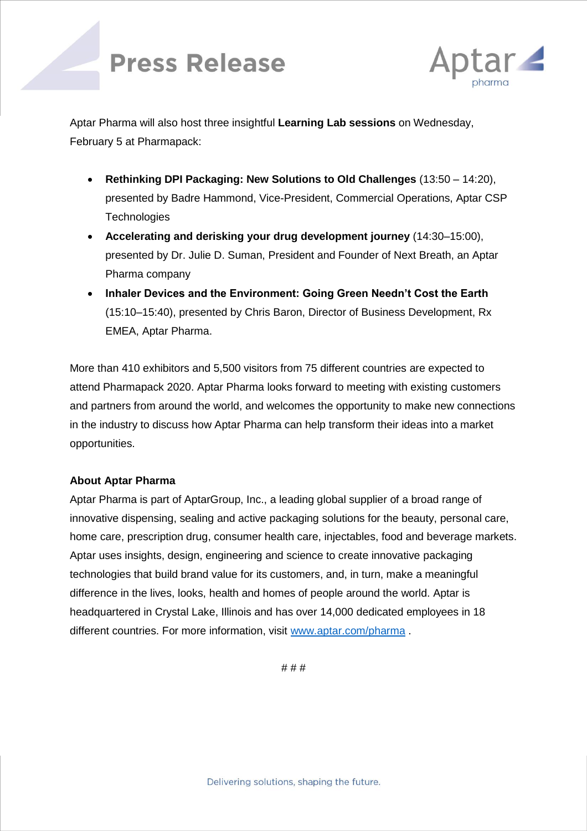## **Press Release**



Aptar Pharma will also host three insightful **Learning Lab sessions** on Wednesday, February 5 at Pharmapack:

- **Rethinking DPI Packaging: New Solutions to Old Challenges** (13:50 14:20), presented by Badre Hammond, Vice-President, Commercial Operations, Aptar CSP **Technologies**
- **Accelerating and derisking your drug development journey** (14:30–15:00), presented by Dr. Julie D. Suman, President and Founder of Next Breath, an Aptar Pharma company
- **Inhaler Devices and the Environment: Going Green Needn't Cost the Earth**  (15:10–15:40), presented by Chris Baron, Director of Business Development, Rx EMEA, Aptar Pharma.

More than 410 exhibitors and 5,500 visitors from 75 different countries are expected to attend Pharmapack 2020. Aptar Pharma looks forward to meeting with existing customers and partners from around the world, and welcomes the opportunity to make new connections in the industry to discuss how Aptar Pharma can help transform their ideas into a market opportunities.

## **About Aptar Pharma**

Aptar Pharma is part of AptarGroup, Inc., a leading global supplier of a broad range of innovative dispensing, sealing and active packaging solutions for the beauty, personal care, home care, prescription drug, consumer health care, injectables, food and beverage markets. Aptar uses insights, design, engineering and science to create innovative packaging technologies that build brand value for its customers, and, in turn, make a meaningful difference in the lives, looks, health and homes of people around the world. Aptar is headquartered in Crystal Lake, Illinois and has over 14,000 dedicated employees in 18 different countries. For more information, visit [www.aptar.com/pharma](http://www.aptar.com/pharma).

# # #